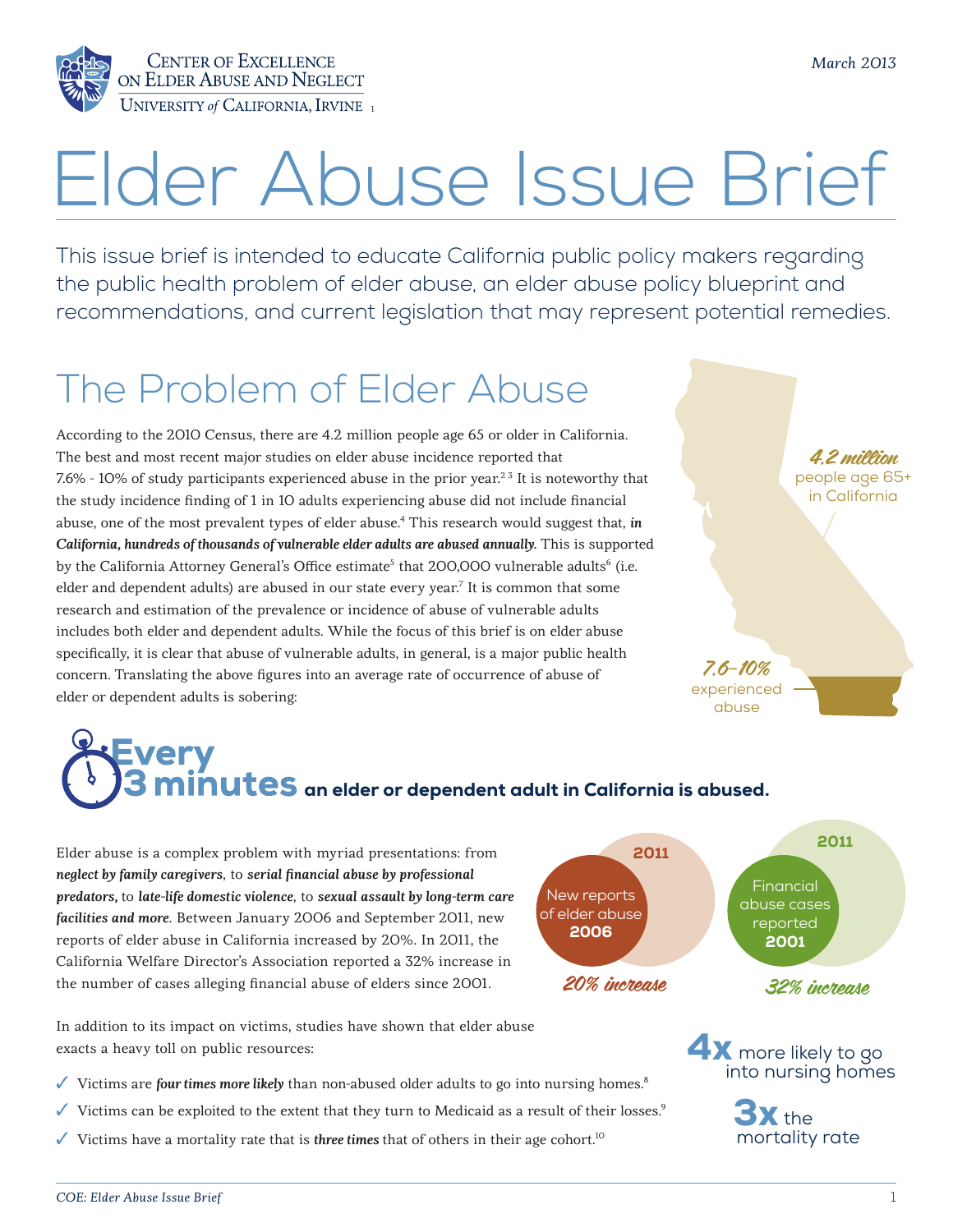

# Elder Abuse Issue Brief

This issue brief is intended to educate California public policy makers regarding the public health problem of elder abuse, an elder abuse policy blueprint and recommendations, and current legislation that may represent potential remedies.

# The Problem of Elder Abuse

According to the 2010 Census, there are 4.2 million people age 65 or older in California. The best and most recent major studies on elder abuse incidence reported that 7.6% - 10% of study participants experienced abuse in the prior year.<sup>23</sup> It is noteworthy that the study incidence finding of 1 in 10 adults experiencing abuse did not include financial abuse, one of the most prevalent types of elder abuse.4 This research would suggest that, *in California, hundreds of thousands of vulnerable elder adults are abused annually*. This is supported by the California Attorney General's Office estimate<sup>5</sup> that 200,000 vulnerable adults<sup>6</sup> (i.e. elder and dependent adults) are abused in our state every year. $^7$  It is common that some research and estimation of the prevalence or incidence of abuse of vulnerable adults includes both elder and dependent adults. While the focus of this brief is on elder abuse specifically, it is clear that abuse of vulnerable adults, in general, is a major public health concern. Translating the above figures into an average rate of occurrence of abuse of elder or dependent adults is sobering:

# 4.2 million people age 65+ in California 7.6-10% experienced abuse

more likely to go into nursing homes

 $\mathbf{X}$  the mortality rate

3x

# very  $\mathop{\mathsf{minus}}$  an elder or dependent adult in California is abused.

Elder abuse is a complex problem with myriad presentations: from *neglect by family caregivers*, to *serial financial abuse by professional predators,* to *late-life domestic violence*, to *sexual assault by long-term care facilities and more*. Between January 2006 and September 2011, new reports of elder abuse in California increased by 20%. In 2011, the California Welfare Director's Association reported a 32% increase in the number of cases alleging financial abuse of elders since 2001.



4x

In addition to its impact on victims, studies have shown that elder abuse exacts a heavy toll on public resources:

- ✓ Victims are *four times more likely* than non-abused older adults to go into nursing homes.8
- $\checkmark$  Victims can be exploited to the extent that they turn to Medicaid as a result of their losses.<sup>9</sup>
- ✓ Victims have a mortality rate that is *three times* that of others in their age cohort.10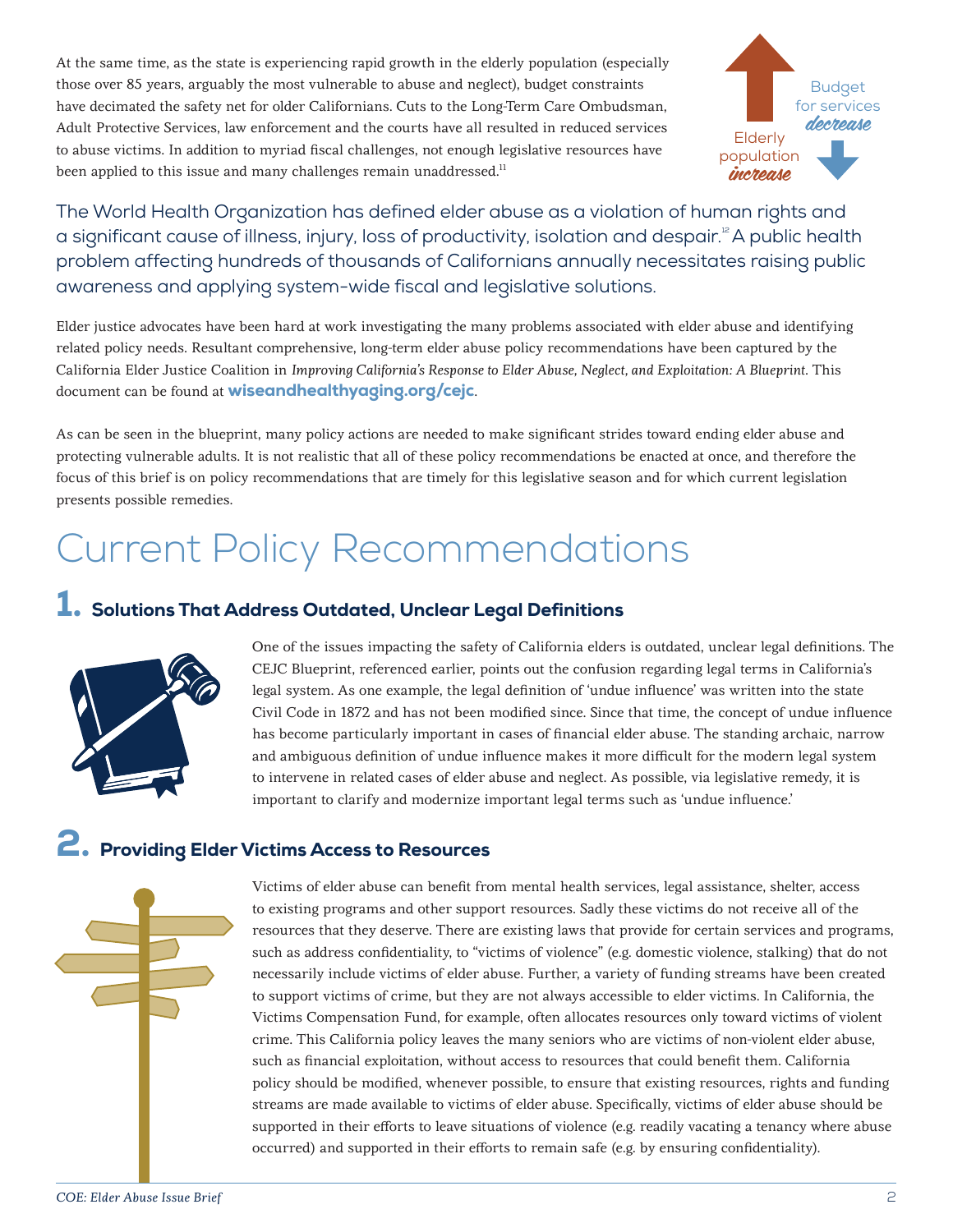At the same time, as the state is experiencing rapid growth in the elderly population (especially those over 85 years, arguably the most vulnerable to abuse and neglect), budget constraints have decimated the safety net for older Californians. Cuts to the Long-Term Care Ombudsman, Adult Protective Services, law enforcement and the courts have all resulted in reduced services to abuse victims. In addition to myriad fiscal challenges, not enough legislative resources have been applied to this issue and many challenges remain unaddressed.<sup>11</sup>



The World Health Organization has defined elder abuse as a violation of human rights and a significant cause of illness, injury, loss of productivity, isolation and despair.<sup>12</sup> A public health problem affecting hundreds of thousands of Californians annually necessitates raising public awareness and applying system-wide fiscal and legislative solutions.

Elder justice advocates have been hard at work investigating the many problems associated with elder abuse and identifying related policy needs. Resultant comprehensive, long-term elder abuse policy recommendations have been captured by the California Elder Justice Coalition in *Improving California's Response to Elder Abuse, Neglect, and Exploitation: A Blueprint*. This document can be found at **[wiseandhealthyaging.org/cejc](http://wiseandhealthyaging.org/cejc).** 

As can be seen in the blueprint, many policy actions are needed to make significant strides toward ending elder abuse and protecting vulnerable adults. It is not realistic that all of these policy recommendations be enacted at once, and therefore the focus of this brief is on policy recommendations that are timely for this legislative season and for which current legislation presents possible remedies.

# Current Policy Recommendations

#### 1. Solutions That Address Outdated, Unclear Legal Definitions



One of the issues impacting the safety of California elders is outdated, unclear legal definitions. The CEJC Blueprint, referenced earlier, points out the confusion regarding legal terms in California's legal system. As one example, the legal definition of 'undue influence' was written into the state Civil Code in 1872 and has not been modified since. Since that time, the concept of undue influence has become particularly important in cases of financial elder abuse. The standing archaic, narrow and ambiguous definition of undue influence makes it more difficult for the modern legal system to intervene in related cases of elder abuse and neglect. As possible, via legislative remedy, it is important to clarify and modernize important legal terms such as 'undue influence.'

### 2. Providing Elder Victims Access to Resources



Victims of elder abuse can benefit from mental health services, legal assistance, shelter, access to existing programs and other support resources. Sadly these victims do not receive all of the resources that they deserve. There are existing laws that provide for certain services and programs, such as address confidentiality, to "victims of violence" (e.g. domestic violence, stalking) that do not necessarily include victims of elder abuse. Further, a variety of funding streams have been created to support victims of crime, but they are not always accessible to elder victims. In California, the Victims Compensation Fund, for example, often allocates resources only toward victims of violent crime. This California policy leaves the many seniors who are victims of non-violent elder abuse, such as financial exploitation, without access to resources that could benefit them. California policy should be modified, whenever possible, to ensure that existing resources, rights and funding streams are made available to victims of elder abuse. Specifically, victims of elder abuse should be supported in their efforts to leave situations of violence (e.g. readily vacating a tenancy where abuse occurred) and supported in their efforts to remain safe (e.g. by ensuring confidentiality).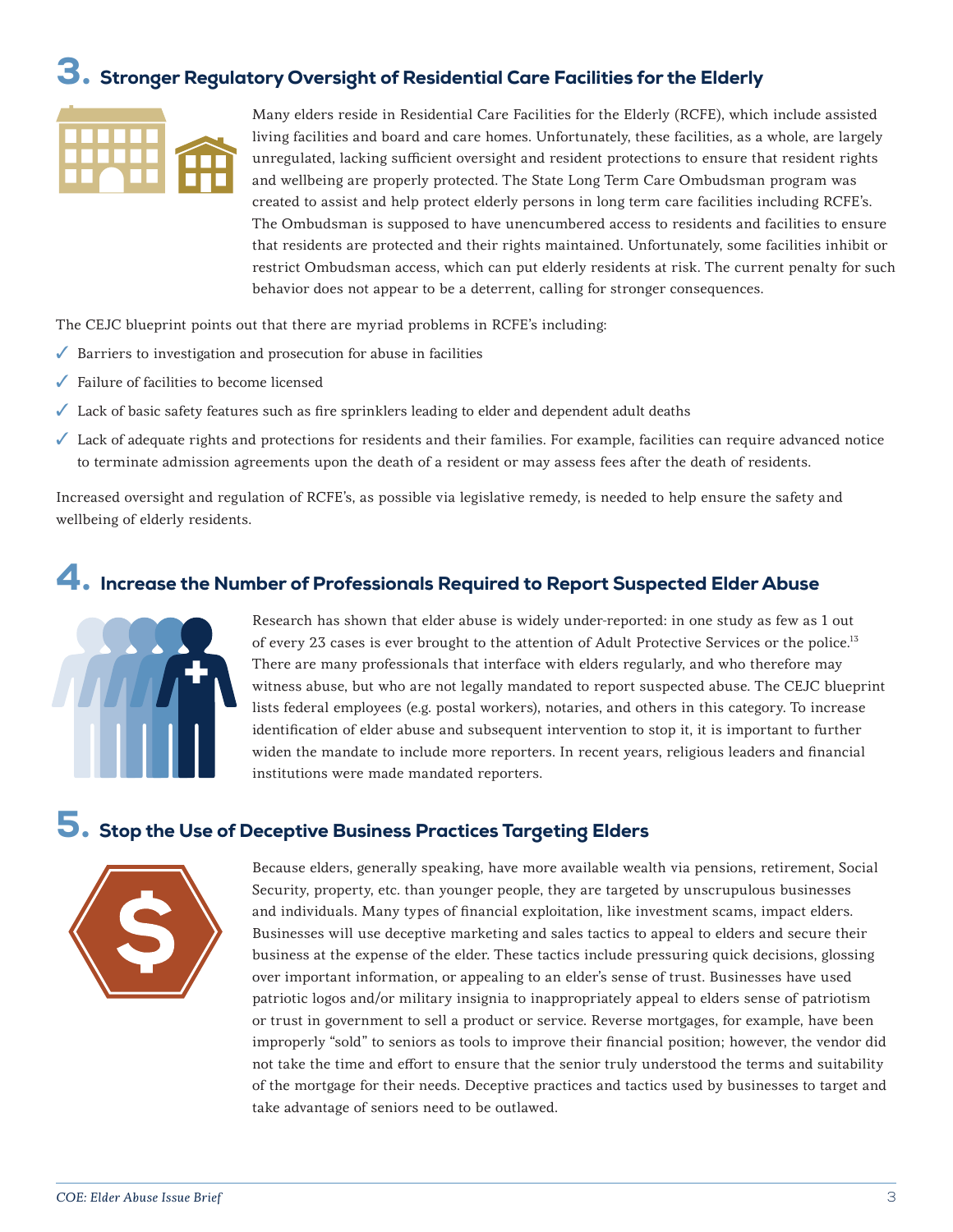### 3. Stronger Regulatory Oversight of Residential Care Facilities for the Elderly



Many elders reside in Residential Care Facilities for the Elderly (RCFE), which include assisted living facilities and board and care homes. Unfortunately, these facilities, as a whole, are largely unregulated, lacking sufficient oversight and resident protections to ensure that resident rights and wellbeing are properly protected. The State Long Term Care Ombudsman program was created to assist and help protect elderly persons in long term care facilities including RCFE's. The Ombudsman is supposed to have unencumbered access to residents and facilities to ensure that residents are protected and their rights maintained. Unfortunately, some facilities inhibit or restrict Ombudsman access, which can put elderly residents at risk. The current penalty for such behavior does not appear to be a deterrent, calling for stronger consequences.

The CEJC blueprint points out that there are myriad problems in RCFE's including:

- $\sqrt{\phantom{a}}$  Barriers to investigation and prosecution for abuse in facilities
- ✓ Failure of facilities to become licensed
- ✓ Lack of basic safety features such as fire sprinklers leading to elder and dependent adult deaths
- ✓ Lack of adequate rights and protections for residents and their families. For example, facilities can require advanced notice to terminate admission agreements upon the death of a resident or may assess fees after the death of residents.

Increased oversight and regulation of RCFE's, as possible via legislative remedy, is needed to help ensure the safety and wellbeing of elderly residents.

#### 4. Increase the Number of Professionals Required to Report Suspected Elder Abuse



Research has shown that elder abuse is widely under-reported: in one study as few as 1 out of every 23 cases is ever brought to the attention of Adult Protective Services or the police.<sup>13</sup> There are many professionals that interface with elders regularly, and who therefore may witness abuse, but who are not legally mandated to report suspected abuse. The CEJC blueprint lists federal employees (e.g. postal workers), notaries, and others in this category. To increase identification of elder abuse and subsequent intervention to stop it, it is important to further widen the mandate to include more reporters. In recent years, religious leaders and financial institutions were made mandated reporters.

#### 5. Stop the Use of Deceptive Business Practices Targeting Elders



Because elders, generally speaking, have more available wealth via pensions, retirement, Social Security, property, etc. than younger people, they are targeted by unscrupulous businesses and individuals. Many types of financial exploitation, like investment scams, impact elders. Businesses will use deceptive marketing and sales tactics to appeal to elders and secure their business at the expense of the elder. These tactics include pressuring quick decisions, glossing over important information, or appealing to an elder's sense of trust. Businesses have used patriotic logos and/or military insignia to inappropriately appeal to elders sense of patriotism or trust in government to sell a product or service. Reverse mortgages, for example, have been improperly "sold" to seniors as tools to improve their financial position; however, the vendor did not take the time and effort to ensure that the senior truly understood the terms and suitability of the mortgage for their needs. Deceptive practices and tactics used by businesses to target and take advantage of seniors need to be outlawed.